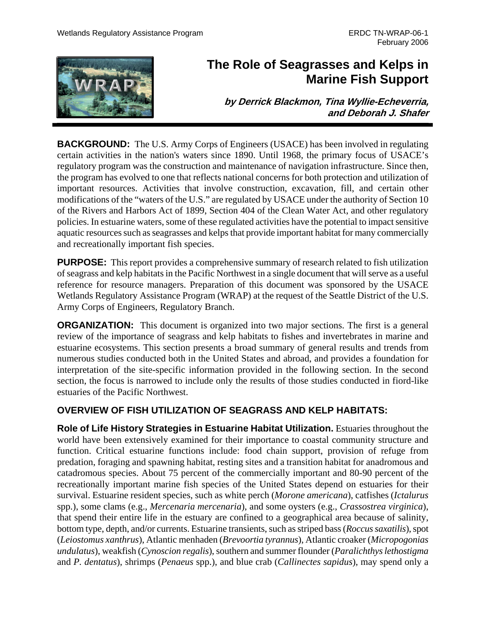

# **The Role of Seagrasses and Kelps in Marine Fish Support**

**by Derrick Blackmon, Tina Wyllie-Echeverria, and Deborah J. Shafer**

**BACKGROUND:** The U.S. Army Corps of Engineers (USACE) has been involved in regulating certain activities in the nation's waters since 1890. Until 1968, the primary focus of USACE's regulatory program was the construction and maintenance of navigation infrastructure. Since then, the program has evolved to one that reflects national concerns for both protection and utilization of important resources. Activities that involve construction, excavation, fill, and certain other modifications of the "waters of the U.S." are regulated by USACE under the authority of Section 10 of the Rivers and Harbors Act of 1899, Section 404 of the Clean Water Act, and other regulatory policies. In estuarine waters, some of these regulated activities have the potential to impact sensitive aquatic resources such as seagrasses and kelps that provide important habitat for many commercially and recreationally important fish species.

**PURPOSE:** This report provides a comprehensive summary of research related to fish utilization of seagrass and kelp habitats in the Pacific Northwest in a single document that will serve as a useful reference for resource managers. Preparation of this document was sponsored by the USACE Wetlands Regulatory Assistance Program (WRAP) at the request of the Seattle District of the U.S. Army Corps of Engineers, Regulatory Branch.

**ORGANIZATION:** This document is organized into two major sections. The first is a general review of the importance of seagrass and kelp habitats to fishes and invertebrates in marine and estuarine ecosystems. This section presents a broad summary of general results and trends from numerous studies conducted both in the United States and abroad, and provides a foundation for interpretation of the site-specific information provided in the following section. In the second section, the focus is narrowed to include only the results of those studies conducted in fiord-like estuaries of the Pacific Northwest.

# **OVERVIEW OF FISH UTILIZATION OF SEAGRASS AND KELP HABITATS:**

**Role of Life History Strategies in Estuarine Habitat Utilization.** Estuaries throughout the world have been extensively examined for their importance to coastal community structure and function. Critical estuarine functions include: food chain support, provision of refuge from predation, foraging and spawning habitat, resting sites and a transition habitat for anadromous and catadromous species. About 75 percent of the commercially important and 80-90 percent of the recreationally important marine fish species of the United States depend on estuaries for their survival. Estuarine resident species, such as white perch (*Morone americana*), catfishes (*Ictalurus* spp.), some clams (e.g., *Mercenaria mercenaria*), and some oysters (e.g., *Crassostrea virginica*), that spend their entire life in the estuary are confined to a geographical area because of salinity, bottom type, depth, and/or currents. Estuarine transients, such as striped bass (*Roccus saxatilis*), spot (*Leiostomus xanthrus*), Atlantic menhaden (*Brevoortia tyrannus*), Atlantic croaker (*Micropogonias undulatus*), weakfish (*Cynoscion regalis*), southern and summer flounder (*Paralichthys lethostigma* and *P. dentatus*), shrimps (*Penaeus* spp.), and blue crab (*Callinectes sapidus*), may spend only a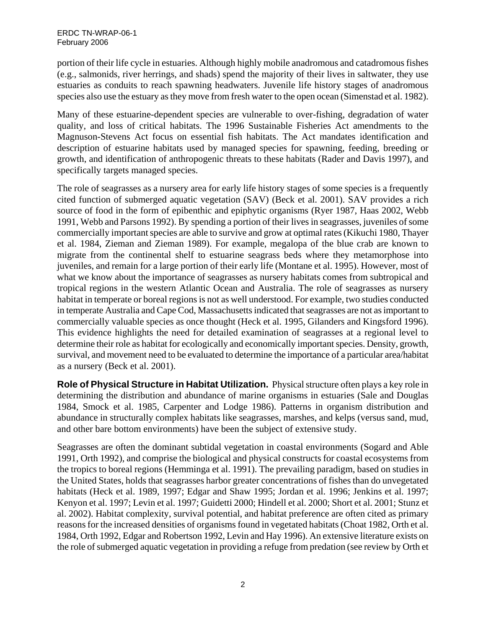portion of their life cycle in estuaries. Although highly mobile anadromous and catadromous fishes (e.g., salmonids, river herrings, and shads) spend the majority of their lives in saltwater, they use estuaries as conduits to reach spawning headwaters. Juvenile life history stages of anadromous species also use the estuary as they move from fresh water to the open ocean (Simenstad et al. 1982).

Many of these estuarine-dependent species are vulnerable to over-fishing, degradation of water quality, and loss of critical habitats. The 1996 Sustainable Fisheries Act amendments to the Magnuson-Stevens Act focus on essential fish habitats. The Act mandates identification and description of estuarine habitats used by managed species for spawning, feeding, breeding or growth, and identification of anthropogenic threats to these habitats (Rader and Davis 1997), and specifically targets managed species.

The role of seagrasses as a nursery area for early life history stages of some species is a frequently cited function of submerged aquatic vegetation (SAV) (Beck et al. 2001). SAV provides a rich source of food in the form of epibenthic and epiphytic organisms (Ryer 1987, Haas 2002, Webb 1991, Webb and Parsons 1992). By spending a portion of their lives in seagrasses, juveniles of some commercially important species are able to survive and grow at optimal rates (Kikuchi 1980, Thayer et al. 1984, Zieman and Zieman 1989). For example, megalopa of the blue crab are known to migrate from the continental shelf to estuarine seagrass beds where they metamorphose into juveniles, and remain for a large portion of their early life (Montane et al. 1995). However, most of what we know about the importance of seagrasses as nursery habitats comes from subtropical and tropical regions in the western Atlantic Ocean and Australia. The role of seagrasses as nursery habitat in temperate or boreal regions is not as well understood. For example, two studies conducted in temperate Australia and Cape Cod, Massachusetts indicated that seagrasses are not as important to commercially valuable species as once thought (Heck et al. 1995, Gilanders and Kingsford 1996). This evidence highlights the need for detailed examination of seagrasses at a regional level to determine their role as habitat for ecologically and economically important species. Density, growth, survival, and movement need to be evaluated to determine the importance of a particular area/habitat as a nursery (Beck et al. 2001).

**Role of Physical Structure in Habitat Utilization.** Physical structure often plays a key role in determining the distribution and abundance of marine organisms in estuaries (Sale and Douglas 1984, Smock et al. 1985, Carpenter and Lodge 1986). Patterns in organism distribution and abundance in structurally complex habitats like seagrasses, marshes, and kelps (versus sand, mud, and other bare bottom environments) have been the subject of extensive study.

Seagrasses are often the dominant subtidal vegetation in coastal environments (Sogard and Able 1991, Orth 1992), and comprise the biological and physical constructs for coastal ecosystems from the tropics to boreal regions (Hemminga et al. 1991). The prevailing paradigm, based on studies in the United States, holds that seagrasses harbor greater concentrations of fishes than do unvegetated habitats (Heck et al. 1989, 1997; Edgar and Shaw 1995; Jordan et al. 1996; Jenkins et al. 1997; Kenyon et al. 1997; Levin et al. 1997; Guidetti 2000; Hindell et al. 2000; Short et al. 2001; Stunz et al. 2002). Habitat complexity, survival potential, and habitat preference are often cited as primary reasons for the increased densities of organisms found in vegetated habitats (Choat 1982, Orth et al. 1984, Orth 1992, Edgar and Robertson 1992, Levin and Hay 1996). An extensive literature exists on the role of submerged aquatic vegetation in providing a refuge from predation (see review by Orth et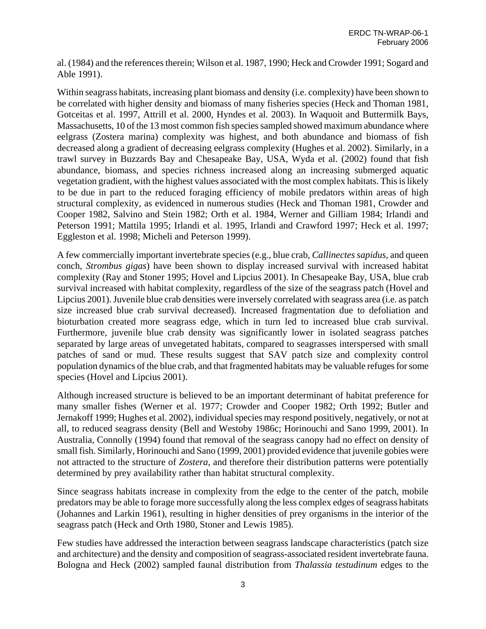al. (1984) and the references therein; Wilson et al. 1987, 1990; Heck and Crowder 1991; Sogard and Able 1991).

Within seagrass habitats, increasing plant biomass and density (i.e. complexity) have been shown to be correlated with higher density and biomass of many fisheries species (Heck and Thoman 1981, Gotceitas et al. 1997, Attrill et al. 2000, Hyndes et al. 2003). In Waquoit and Buttermilk Bays, Massachusetts, 10 of the 13 most common fish species sampled showed maximum abundance where eelgrass (Zostera marina) complexity was highest, and both abundance and biomass of fish decreased along a gradient of decreasing eelgrass complexity (Hughes et al. 2002). Similarly, in a trawl survey in Buzzards Bay and Chesapeake Bay, USA, Wyda et al. (2002) found that fish abundance, biomass, and species richness increased along an increasing submerged aquatic vegetation gradient, with the highest values associated with the most complex habitats. This is likely to be due in part to the reduced foraging efficiency of mobile predators within areas of high structural complexity, as evidenced in numerous studies (Heck and Thoman 1981, Crowder and Cooper 1982, Salvino and Stein 1982; Orth et al. 1984, Werner and Gilliam 1984; Irlandi and Peterson 1991; Mattila 1995; Irlandi et al. 1995, Irlandi and Crawford 1997; Heck et al. 1997; Eggleston et al. 1998; Micheli and Peterson 1999).

A few commercially important invertebrate species (e.g., blue crab, *Callinectes sapidus*, and queen conch, *Strombus gigas*) have been shown to display increased survival with increased habitat complexity (Ray and Stoner 1995; Hovel and Lipcius 2001). In Chesapeake Bay, USA, blue crab survival increased with habitat complexity, regardless of the size of the seagrass patch (Hovel and Lipcius 2001). Juvenile blue crab densities were inversely correlated with seagrass area (i.e. as patch size increased blue crab survival decreased). Increased fragmentation due to defoliation and bioturbation created more seagrass edge, which in turn led to increased blue crab survival. Furthermore, juvenile blue crab density was significantly lower in isolated seagrass patches separated by large areas of unvegetated habitats, compared to seagrasses interspersed with small patches of sand or mud. These results suggest that SAV patch size and complexity control population dynamics of the blue crab, and that fragmented habitats may be valuable refuges for some species (Hovel and Lipcius 2001).

Although increased structure is believed to be an important determinant of habitat preference for many smaller fishes (Werner et al. 1977; Crowder and Cooper 1982; Orth 1992; Butler and Jernakoff 1999; Hughes et al. 2002), individual species may respond positively, negatively, or not at all, to reduced seagrass density (Bell and Westoby 1986c; Horinouchi and Sano 1999, 2001). In Australia, Connolly (1994) found that removal of the seagrass canopy had no effect on density of small fish. Similarly, Horinouchi and Sano (1999, 2001) provided evidence that juvenile gobies were not attracted to the structure of *Zostera*, and therefore their distribution patterns were potentially determined by prey availability rather than habitat structural complexity.

Since seagrass habitats increase in complexity from the edge to the center of the patch, mobile predators may be able to forage more successfully along the less complex edges of seagrass habitats (Johannes and Larkin 1961), resulting in higher densities of prey organisms in the interior of the seagrass patch (Heck and Orth 1980, Stoner and Lewis 1985).

Few studies have addressed the interaction between seagrass landscape characteristics (patch size and architecture) and the density and composition of seagrass-associated resident invertebrate fauna. Bologna and Heck (2002) sampled faunal distribution from *Thalassia testudinum* edges to the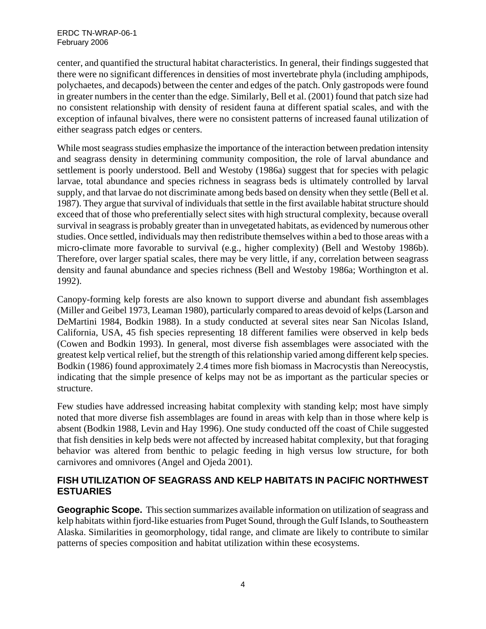center, and quantified the structural habitat characteristics. In general, their findings suggested that there were no significant differences in densities of most invertebrate phyla (including amphipods, polychaetes, and decapods) between the center and edges of the patch. Only gastropods were found in greater numbers in the center than the edge. Similarly, Bell et al. (2001) found that patch size had no consistent relationship with density of resident fauna at different spatial scales, and with the exception of infaunal bivalves, there were no consistent patterns of increased faunal utilization of either seagrass patch edges or centers.

While most seagrass studies emphasize the importance of the interaction between predation intensity and seagrass density in determining community composition, the role of larval abundance and settlement is poorly understood. Bell and Westoby (1986a) suggest that for species with pelagic larvae, total abundance and species richness in seagrass beds is ultimately controlled by larval supply, and that larvae do not discriminate among beds based on density when they settle (Bell et al. 1987). They argue that survival of individuals that settle in the first available habitat structure should exceed that of those who preferentially select sites with high structural complexity, because overall survival in seagrass is probably greater than in unvegetated habitats, as evidenced by numerous other studies. Once settled, individuals may then redistribute themselves within a bed to those areas with a micro-climate more favorable to survival (e.g., higher complexity) (Bell and Westoby 1986b). Therefore, over larger spatial scales, there may be very little, if any, correlation between seagrass density and faunal abundance and species richness (Bell and Westoby 1986a; Worthington et al. 1992).

Canopy-forming kelp forests are also known to support diverse and abundant fish assemblages (Miller and Geibel 1973, Leaman 1980), particularly compared to areas devoid of kelps (Larson and DeMartini 1984, Bodkin 1988). In a study conducted at several sites near San Nicolas Island, California, USA, 45 fish species representing 18 different families were observed in kelp beds (Cowen and Bodkin 1993). In general, most diverse fish assemblages were associated with the greatest kelp vertical relief, but the strength of this relationship varied among different kelp species. Bodkin (1986) found approximately 2.4 times more fish biomass in Macrocystis than Nereocystis, indicating that the simple presence of kelps may not be as important as the particular species or structure.

Few studies have addressed increasing habitat complexity with standing kelp; most have simply noted that more diverse fish assemblages are found in areas with kelp than in those where kelp is absent (Bodkin 1988, Levin and Hay 1996). One study conducted off the coast of Chile suggested that fish densities in kelp beds were not affected by increased habitat complexity, but that foraging behavior was altered from benthic to pelagic feeding in high versus low structure, for both carnivores and omnivores (Angel and Ojeda 2001).

# **FISH UTILIZATION OF SEAGRASS AND KELP HABITATS IN PACIFIC NORTHWEST ESTUARIES**

**Geographic Scope.** This section summarizes available information on utilization of seagrass and kelp habitats within fjord-like estuaries from Puget Sound, through the Gulf Islands, to Southeastern Alaska. Similarities in geomorphology, tidal range, and climate are likely to contribute to similar patterns of species composition and habitat utilization within these ecosystems.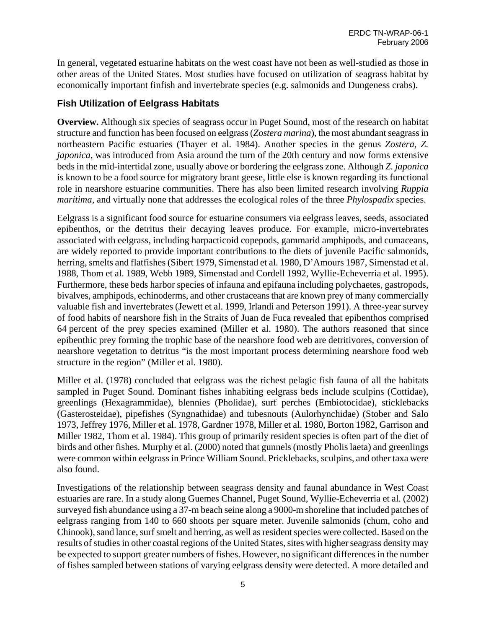In general, vegetated estuarine habitats on the west coast have not been as well-studied as those in other areas of the United States. Most studies have focused on utilization of seagrass habitat by economically important finfish and invertebrate species (e.g. salmonids and Dungeness crabs).

### **Fish Utilization of Eelgrass Habitats**

**Overview.** Although six species of seagrass occur in Puget Sound, most of the research on habitat structure and function has been focused on eelgrass (*Zostera marina*), the most abundant seagrass in northeastern Pacific estuaries (Thayer et al. 1984). Another species in the genus *Zostera*, *Z. japonica*, was introduced from Asia around the turn of the 20th century and now forms extensive beds in the mid-intertidal zone, usually above or bordering the eelgrass zone. Although *Z. japonica* is known to be a food source for migratory brant geese, little else is known regarding its functional role in nearshore estuarine communities. There has also been limited research involving *Ruppia maritima*, and virtually none that addresses the ecological roles of the three *Phylospadix* species.

Eelgrass is a significant food source for estuarine consumers via eelgrass leaves, seeds, associated epibenthos, or the detritus their decaying leaves produce. For example, micro-invertebrates associated with eelgrass, including harpacticoid copepods, gammarid amphipods, and cumaceans, are widely reported to provide important contributions to the diets of juvenile Pacific salmonids, herring, smelts and flatfishes (Sibert 1979, Simenstad et al. 1980, D'Amours 1987, Simenstad et al. 1988, Thom et al. 1989, Webb 1989, Simenstad and Cordell 1992, Wyllie-Echeverria et al. 1995). Furthermore, these beds harbor species of infauna and epifauna including polychaetes, gastropods, bivalves, amphipods, echinoderms, and other crustaceans that are known prey of many commercially valuable fish and invertebrates (Jewett et al. 1999, Irlandi and Peterson 1991). A three-year survey of food habits of nearshore fish in the Straits of Juan de Fuca revealed that epibenthos comprised 64 percent of the prey species examined (Miller et al. 1980). The authors reasoned that since epibenthic prey forming the trophic base of the nearshore food web are detritivores, conversion of nearshore vegetation to detritus "is the most important process determining nearshore food web structure in the region" (Miller et al. 1980).

Miller et al. (1978) concluded that eelgrass was the richest pelagic fish fauna of all the habitats sampled in Puget Sound. Dominant fishes inhabiting eelgrass beds include sculpins (Cottidae), greenlings (Hexagrammidae), blennies (Pholidae), surf perches (Embiotocidae), sticklebacks (Gasterosteidae), pipefishes (Syngnathidae) and tubesnouts (Aulorhynchidae) (Stober and Salo 1973, Jeffrey 1976, Miller et al. 1978, Gardner 1978, Miller et al. 1980, Borton 1982, Garrison and Miller 1982, Thom et al. 1984). This group of primarily resident species is often part of the diet of birds and other fishes. Murphy et al. (2000) noted that gunnels (mostly Pholis laeta) and greenlings were common within eelgrass in Prince William Sound. Pricklebacks, sculpins, and other taxa were also found.

Investigations of the relationship between seagrass density and faunal abundance in West Coast estuaries are rare. In a study along Guemes Channel, Puget Sound, Wyllie-Echeverria et al. (2002) surveyed fish abundance using a 37-m beach seine along a 9000-m shoreline that included patches of eelgrass ranging from 140 to 660 shoots per square meter. Juvenile salmonids (chum, coho and Chinook), sand lance, surf smelt and herring, as well as resident species were collected. Based on the results of studies in other coastal regions of the United States, sites with higher seagrass density may be expected to support greater numbers of fishes. However, no significant differences in the number of fishes sampled between stations of varying eelgrass density were detected. A more detailed and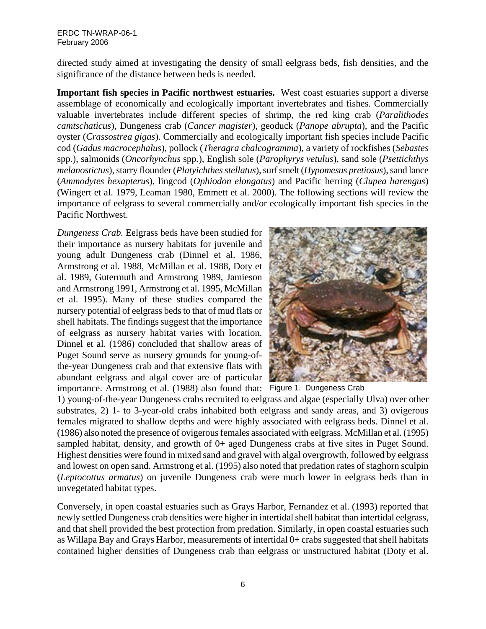#### ERDC TN-WRAP-06-1 February 2006

directed study aimed at investigating the density of small eelgrass beds, fish densities, and the significance of the distance between beds is needed.

**Important fish species in Pacific northwest estuaries.** West coast estuaries support a diverse assemblage of economically and ecologically important invertebrates and fishes. Commercially valuable invertebrates include different species of shrimp, the red king crab (*Paralithodes camtschaticus*), Dungeness crab (*Cancer magister*), geoduck (*Panope abrupta*), and the Pacific oyster (*Crassostrea gigas*). Commercially and ecologically important fish species include Pacific cod (*Gadus macrocephalus*), pollock (*Theragra chalcogramma*), a variety of rockfishes (*Sebastes* spp.), salmonids (*Oncorhynchus* spp.), English sole (*Parophyrys vetulus*), sand sole (*Psettichthys melanostictus*), starry flounder (*Platyichthes stellatus*), surf smelt (*Hypomesus pretiosus*), sand lance (*Ammodytes hexapterus*), lingcod (*Ophiodon elongatus*) and Pacific herring (*Clupea harengus*) (Wingert et al. 1979, Leaman 1980, Emmett et al. 2000). The following sections will review the importance of eelgrass to several commercially and/or ecologically important fish species in the Pacific Northwest.

*Dungeness Crab.* Eelgrass beds have been studied for their importance as nursery habitats for juvenile and young adult Dungeness crab (Dinnel et al. 1986, Armstrong et al. 1988, McMillan et al. 1988, Doty et al. 1989, Gutermuth and Armstrong 1989, Jamieson and Armstrong 1991, Armstrong et al. 1995, McMillan et al. 1995). Many of these studies compared the nursery potential of eelgrass beds to that of mud flats or shell habitats. The findings suggest that the importance of eelgrass as nursery habitat varies with location. Dinnel et al. (1986) concluded that shallow areas of Puget Sound serve as nursery grounds for young-ofthe-year Dungeness crab and that extensive flats with abundant eelgrass and algal cover are of particular importance. Armstrong et al. (1988) also found that: Figure 1. Dungeness Crab



1) young-of-the-year Dungeness crabs recruited to eelgrass and algae (especially Ulva) over other substrates, 2) 1- to 3-year-old crabs inhabited both eelgrass and sandy areas, and 3) ovigerous females migrated to shallow depths and were highly associated with eelgrass beds. Dinnel et al. (1986) also noted the presence of ovigerous females associated with eelgrass. McMillan et al. (1995) sampled habitat, density, and growth of 0+ aged Dungeness crabs at five sites in Puget Sound. Highest densities were found in mixed sand and gravel with algal overgrowth, followed by eelgrass and lowest on open sand. Armstrong et al. (1995) also noted that predation rates of staghorn sculpin (*Leptocottus armatus*) on juvenile Dungeness crab were much lower in eelgrass beds than in unvegetated habitat types.

Conversely, in open coastal estuaries such as Grays Harbor, Fernandez et al. (1993) reported that newly settled Dungeness crab densities were higher in intertidal shell habitat than intertidal eelgrass, and that shell provided the best protection from predation. Similarly, in open coastal estuaries such as Willapa Bay and Grays Harbor, measurements of intertidal 0+ crabs suggested that shell habitats contained higher densities of Dungeness crab than eelgrass or unstructured habitat (Doty et al.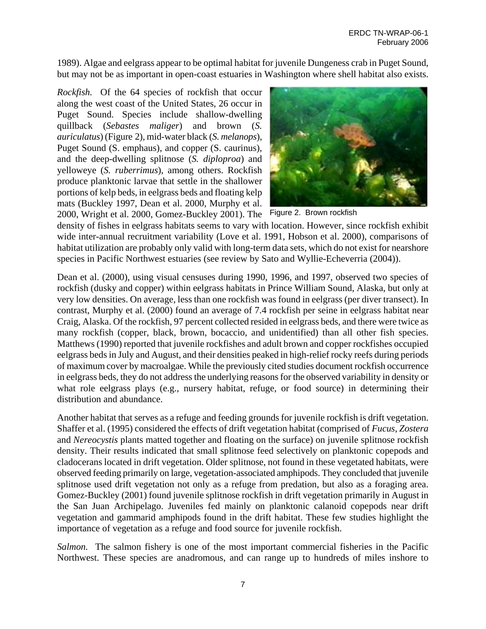1989). Algae and eelgrass appear to be optimal habitat for juvenile Dungeness crab in Puget Sound, but may not be as important in open-coast estuaries in Washington where shell habitat also exists.

*Rockfish.* Of the 64 species of rockfish that occur along the west coast of the United States, 26 occur in Puget Sound. Species include shallow-dwelling quillback (*Sebastes maliger*) and brown (*S. auriculatus*) (Figure 2), mid-water black (*S. melanops*), Puget Sound (S. emphaus), and copper (S. caurinus), and the deep-dwelling splitnose (*S. diploproa*) and yelloweye (*S. ruberrimus*), among others. Rockfish produce planktonic larvae that settle in the shallower portions of kelp beds, in eelgrass beds and floating kelp mats (Buckley 1997, Dean et al. 2000, Murphy et al. 2000, Wright et al. 2000, Gomez-Buckley 2001). The Figure 2. Brown rockfish



density of fishes in eelgrass habitats seems to vary with location. However, since rockfish exhibit wide inter-annual recruitment variability (Love et al. 1991, Hobson et al. 2000), comparisons of habitat utilization are probably only valid with long-term data sets, which do not exist for nearshore species in Pacific Northwest estuaries (see review by Sato and Wyllie-Echeverria (2004)).

Dean et al. (2000), using visual censuses during 1990, 1996, and 1997, observed two species of rockfish (dusky and copper) within eelgrass habitats in Prince William Sound, Alaska, but only at very low densities. On average, less than one rockfish was found in eelgrass (per diver transect). In contrast, Murphy et al. (2000) found an average of 7.4 rockfish per seine in eelgrass habitat near Craig, Alaska. Of the rockfish, 97 percent collected resided in eelgrass beds, and there were twice as many rockfish (copper, black, brown, bocaccio, and unidentified) than all other fish species. Matthews (1990) reported that juvenile rockfishes and adult brown and copper rockfishes occupied eelgrass beds in July and August, and their densities peaked in high-relief rocky reefs during periods of maximum cover by macroalgae. While the previously cited studies document rockfish occurrence in eelgrass beds, they do not address the underlying reasons for the observed variability in density or what role eelgrass plays (e.g., nursery habitat, refuge, or food source) in determining their distribution and abundance.

Another habitat that serves as a refuge and feeding grounds for juvenile rockfish is drift vegetation. Shaffer et al. (1995) considered the effects of drift vegetation habitat (comprised of *Fucus*, *Zostera* and *Nereocystis* plants matted together and floating on the surface) on juvenile splitnose rockfish density. Their results indicated that small splitnose feed selectively on planktonic copepods and cladocerans located in drift vegetation. Older splitnose, not found in these vegetated habitats, were observed feeding primarily on large, vegetation-associated amphipods. They concluded that juvenile splitnose used drift vegetation not only as a refuge from predation, but also as a foraging area. Gomez-Buckley (2001) found juvenile splitnose rockfish in drift vegetation primarily in August in the San Juan Archipelago. Juveniles fed mainly on planktonic calanoid copepods near drift vegetation and gammarid amphipods found in the drift habitat. These few studies highlight the importance of vegetation as a refuge and food source for juvenile rockfish.

*Salmon.* The salmon fishery is one of the most important commercial fisheries in the Pacific Northwest. These species are anadromous, and can range up to hundreds of miles inshore to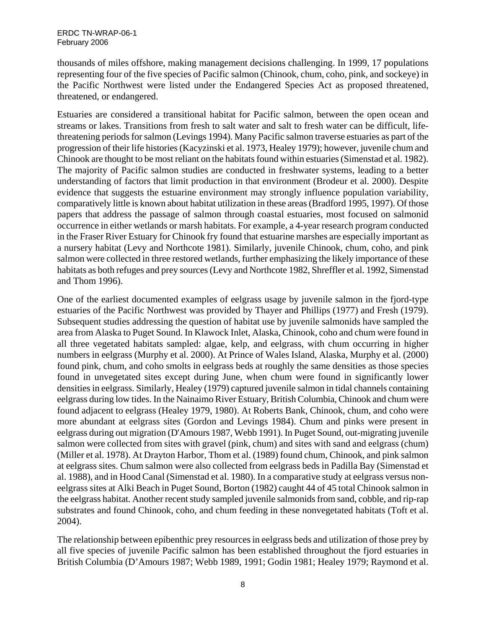thousands of miles offshore, making management decisions challenging. In 1999, 17 populations representing four of the five species of Pacific salmon (Chinook, chum, coho, pink, and sockeye) in the Pacific Northwest were listed under the Endangered Species Act as proposed threatened, threatened, or endangered.

Estuaries are considered a transitional habitat for Pacific salmon, between the open ocean and streams or lakes. Transitions from fresh to salt water and salt to fresh water can be difficult, lifethreatening periods for salmon (Levings 1994). Many Pacific salmon traverse estuaries as part of the progression of their life histories (Kacyzinski et al. 1973, Healey 1979); however, juvenile chum and Chinook are thought to be most reliant on the habitats found within estuaries (Simenstad et al. 1982). The majority of Pacific salmon studies are conducted in freshwater systems, leading to a better understanding of factors that limit production in that environment (Brodeur et al. 2000). Despite evidence that suggests the estuarine environment may strongly influence population variability, comparatively little is known about habitat utilization in these areas (Bradford 1995, 1997). Of those papers that address the passage of salmon through coastal estuaries, most focused on salmonid occurrence in either wetlands or marsh habitats. For example, a 4-year research program conducted in the Fraser River Estuary for Chinook fry found that estuarine marshes are especially important as a nursery habitat (Levy and Northcote 1981). Similarly, juvenile Chinook, chum, coho, and pink salmon were collected in three restored wetlands, further emphasizing the likely importance of these habitats as both refuges and prey sources (Levy and Northcote 1982, Shreffler et al. 1992, Simenstad and Thom 1996).

One of the earliest documented examples of eelgrass usage by juvenile salmon in the fjord-type estuaries of the Pacific Northwest was provided by Thayer and Phillips (1977) and Fresh (1979). Subsequent studies addressing the question of habitat use by juvenile salmonids have sampled the area from Alaska to Puget Sound. In Klawock Inlet, Alaska, Chinook, coho and chum were found in all three vegetated habitats sampled: algae, kelp, and eelgrass, with chum occurring in higher numbers in eelgrass (Murphy et al. 2000). At Prince of Wales Island, Alaska, Murphy et al. (2000) found pink, chum, and coho smolts in eelgrass beds at roughly the same densities as those species found in unvegetated sites except during June, when chum were found in significantly lower densities in eelgrass. Similarly, Healey (1979) captured juvenile salmon in tidal channels containing eelgrass during low tides. In the Nainaimo River Estuary, British Columbia, Chinook and chum were found adjacent to eelgrass (Healey 1979, 1980). At Roberts Bank, Chinook, chum, and coho were more abundant at eelgrass sites (Gordon and Levings 1984). Chum and pinks were present in eelgrass during out migration (D'Amours 1987, Webb 1991). In Puget Sound, out-migrating juvenile salmon were collected from sites with gravel (pink, chum) and sites with sand and eelgrass (chum) (Miller et al. 1978). At Drayton Harbor, Thom et al. (1989) found chum, Chinook, and pink salmon at eelgrass sites. Chum salmon were also collected from eelgrass beds in Padilla Bay (Simenstad et al. 1988), and in Hood Canal (Simenstad et al. 1980). In a comparative study at eelgrass versus noneelgrass sites at Alki Beach in Puget Sound, Borton (1982) caught 44 of 45 total Chinook salmon in the eelgrass habitat. Another recent study sampled juvenile salmonids from sand, cobble, and rip-rap substrates and found Chinook, coho, and chum feeding in these nonvegetated habitats (Toft et al. 2004).

The relationship between epibenthic prey resources in eelgrass beds and utilization of those prey by all five species of juvenile Pacific salmon has been established throughout the fjord estuaries in British Columbia (D'Amours 1987; Webb 1989, 1991; Godin 1981; Healey 1979; Raymond et al.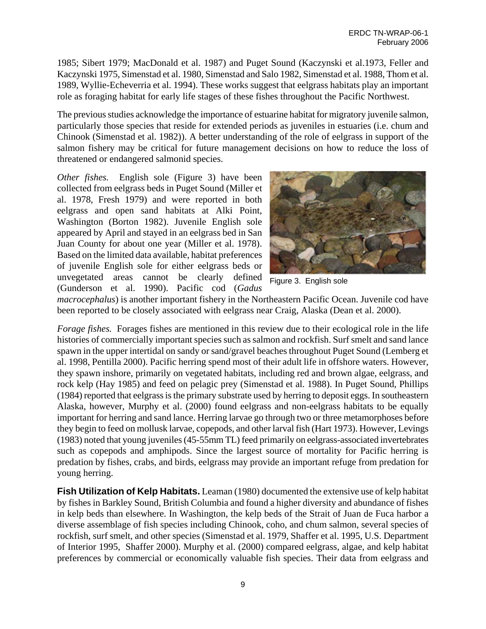1985; Sibert 1979; MacDonald et al. 1987) and Puget Sound (Kaczynski et al.1973, Feller and Kaczynski 1975, Simenstad et al. 1980, Simenstad and Salo 1982, Simenstad et al. 1988, Thom et al. 1989, Wyllie-Echeverria et al. 1994). These works suggest that eelgrass habitats play an important role as foraging habitat for early life stages of these fishes throughout the Pacific Northwest.

The previous studies acknowledge the importance of estuarine habitat for migratory juvenile salmon, particularly those species that reside for extended periods as juveniles in estuaries (i.e. chum and Chinook (Simenstad et al. 1982)). A better understanding of the role of eelgrass in support of the salmon fishery may be critical for future management decisions on how to reduce the loss of threatened or endangered salmonid species.

*Other fishes.* English sole (Figure 3) have been collected from eelgrass beds in Puget Sound (Miller et al. 1978, Fresh 1979) and were reported in both eelgrass and open sand habitats at Alki Point, Washington (Borton 1982). Juvenile English sole appeared by April and stayed in an eelgrass bed in San Juan County for about one year (Miller et al. 1978). Based on the limited data available, habitat preferences of juvenile English sole for either eelgrass beds or unvegetated areas cannot be clearly defined (Gunderson et al. 1990). Pacific cod (*Gadus* 



Figure 3. English sole

*macrocephalus*) is another important fishery in the Northeastern Pacific Ocean. Juvenile cod have been reported to be closely associated with eelgrass near Craig, Alaska (Dean et al. 2000).

*Forage fishes.* Forages fishes are mentioned in this review due to their ecological role in the life histories of commercially important species such as salmon and rockfish. Surf smelt and sand lance spawn in the upper intertidal on sandy or sand/gravel beaches throughout Puget Sound (Lemberg et al. 1998, Pentilla 2000). Pacific herring spend most of their adult life in offshore waters. However, they spawn inshore, primarily on vegetated habitats, including red and brown algae, eelgrass, and rock kelp (Hay 1985) and feed on pelagic prey (Simenstad et al. 1988). In Puget Sound, Phillips (1984) reported that eelgrass is the primary substrate used by herring to deposit eggs. In southeastern Alaska, however, Murphy et al. (2000) found eelgrass and non-eelgrass habitats to be equally important for herring and sand lance. Herring larvae go through two or three metamorphoses before they begin to feed on mollusk larvae, copepods, and other larval fish (Hart 1973). However, Levings (1983) noted that young juveniles (45-55mm TL) feed primarily on eelgrass-associated invertebrates such as copepods and amphipods. Since the largest source of mortality for Pacific herring is predation by fishes, crabs, and birds, eelgrass may provide an important refuge from predation for young herring.

**Fish Utilization of Kelp Habitats.** Leaman (1980) documented the extensive use of kelp habitat by fishes in Barkley Sound, British Columbia and found a higher diversity and abundance of fishes in kelp beds than elsewhere. In Washington, the kelp beds of the Strait of Juan de Fuca harbor a diverse assemblage of fish species including Chinook, coho, and chum salmon, several species of rockfish, surf smelt, and other species (Simenstad et al. 1979, Shaffer et al. 1995, U.S. Department of Interior 1995, Shaffer 2000). Murphy et al. (2000) compared eelgrass, algae, and kelp habitat preferences by commercial or economically valuable fish species. Their data from eelgrass and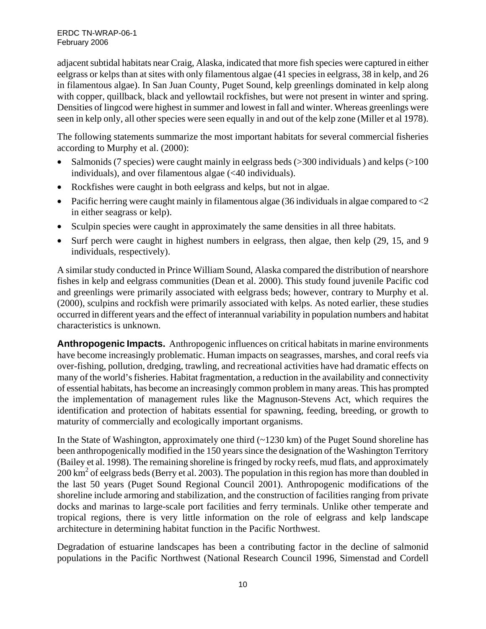adjacent subtidal habitats near Craig, Alaska, indicated that more fish species were captured in either eelgrass or kelps than at sites with only filamentous algae (41 species in eelgrass, 38 in kelp, and 26 in filamentous algae). In San Juan County, Puget Sound, kelp greenlings dominated in kelp along with copper, quillback, black and yellowtail rockfishes, but were not present in winter and spring. Densities of lingcod were highest in summer and lowest in fall and winter. Whereas greenlings were seen in kelp only, all other species were seen equally in and out of the kelp zone (Miller et al 1978).

The following statements summarize the most important habitats for several commercial fisheries according to Murphy et al. (2000):

- Salmonids (7 species) were caught mainly in eelgrass beds (>300 individuals ) and kelps (>100 individuals), and over filamentous algae (<40 individuals).
- Rockfishes were caught in both eelgrass and kelps, but not in algae.
- Pacific herring were caught mainly in filamentous algae  $(36 \text{ individuals in algae compared to } < 2$ in either seagrass or kelp).
- Sculpin species were caught in approximately the same densities in all three habitats.
- Surf perch were caught in highest numbers in eelgrass, then algae, then kelp (29, 15, and 9 individuals, respectively).

A similar study conducted in Prince William Sound, Alaska compared the distribution of nearshore fishes in kelp and eelgrass communities (Dean et al. 2000). This study found juvenile Pacific cod and greenlings were primarily associated with eelgrass beds; however, contrary to Murphy et al. (2000), sculpins and rockfish were primarily associated with kelps. As noted earlier, these studies occurred in different years and the effect of interannual variability in population numbers and habitat characteristics is unknown.

**Anthropogenic Impacts.** Anthropogenic influences on critical habitats in marine environments have become increasingly problematic. Human impacts on seagrasses, marshes, and coral reefs via over-fishing, pollution, dredging, trawling, and recreational activities have had dramatic effects on many of the world's fisheries. Habitat fragmentation, a reduction in the availability and connectivity of essential habitats, has become an increasingly common problem in many areas. This has prompted the implementation of management rules like the Magnuson-Stevens Act, which requires the identification and protection of habitats essential for spawning, feeding, breeding, or growth to maturity of commercially and ecologically important organisms.

In the State of Washington, approximately one third  $(\sim 1230 \text{ km})$  of the Puget Sound shoreline has been anthropogenically modified in the 150 years since the designation of the Washington Territory (Bailey et al. 1998). The remaining shoreline is fringed by rocky reefs, mud flats, and approximately 200 km<sup>2</sup> of eelgrass beds (Berry et al. 2003). The population in this region has more than doubled in the last 50 years (Puget Sound Regional Council 2001). Anthropogenic modifications of the shoreline include armoring and stabilization, and the construction of facilities ranging from private docks and marinas to large-scale port facilities and ferry terminals. Unlike other temperate and tropical regions, there is very little information on the role of eelgrass and kelp landscape architecture in determining habitat function in the Pacific Northwest.

Degradation of estuarine landscapes has been a contributing factor in the decline of salmonid populations in the Pacific Northwest (National Research Council 1996, Simenstad and Cordell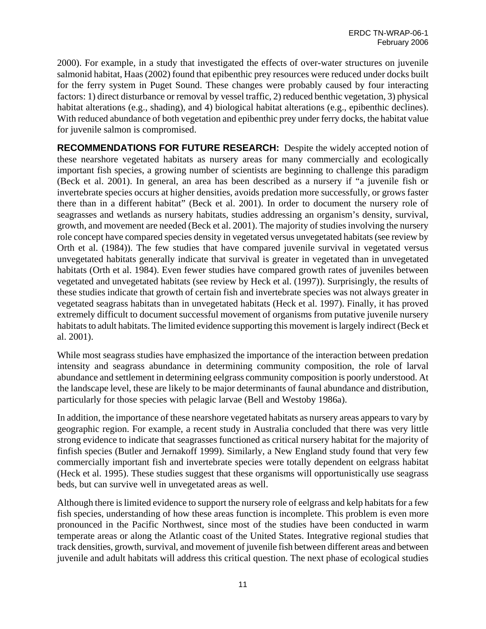2000). For example, in a study that investigated the effects of over-water structures on juvenile salmonid habitat, Haas (2002) found that epibenthic prey resources were reduced under docks built for the ferry system in Puget Sound. These changes were probably caused by four interacting factors: 1) direct disturbance or removal by vessel traffic, 2) reduced benthic vegetation, 3) physical habitat alterations (e.g., shading), and 4) biological habitat alterations (e.g., epibenthic declines). With reduced abundance of both vegetation and epibenthic prey under ferry docks, the habitat value for juvenile salmon is compromised.

**RECOMMENDATIONS FOR FUTURE RESEARCH:** Despite the widely accepted notion of these nearshore vegetated habitats as nursery areas for many commercially and ecologically important fish species, a growing number of scientists are beginning to challenge this paradigm (Beck et al. 2001). In general, an area has been described as a nursery if "a juvenile fish or invertebrate species occurs at higher densities, avoids predation more successfully, or grows faster there than in a different habitat" (Beck et al. 2001). In order to document the nursery role of seagrasses and wetlands as nursery habitats, studies addressing an organism's density, survival, growth, and movement are needed (Beck et al. 2001). The majority of studies involving the nursery role concept have compared species density in vegetated versus unvegetated habitats (see review by Orth et al. (1984)). The few studies that have compared juvenile survival in vegetated versus unvegetated habitats generally indicate that survival is greater in vegetated than in unvegetated habitats (Orth et al. 1984). Even fewer studies have compared growth rates of juveniles between vegetated and unvegetated habitats (see review by Heck et al. (1997)). Surprisingly, the results of these studies indicate that growth of certain fish and invertebrate species was not always greater in vegetated seagrass habitats than in unvegetated habitats (Heck et al. 1997). Finally, it has proved extremely difficult to document successful movement of organisms from putative juvenile nursery habitats to adult habitats. The limited evidence supporting this movement is largely indirect (Beck et al. 2001).

While most seagrass studies have emphasized the importance of the interaction between predation intensity and seagrass abundance in determining community composition, the role of larval abundance and settlement in determining eelgrass community composition is poorly understood. At the landscape level, these are likely to be major determinants of faunal abundance and distribution, particularly for those species with pelagic larvae (Bell and Westoby 1986a).

In addition, the importance of these nearshore vegetated habitats as nursery areas appears to vary by geographic region. For example, a recent study in Australia concluded that there was very little strong evidence to indicate that seagrasses functioned as critical nursery habitat for the majority of finfish species (Butler and Jernakoff 1999). Similarly, a New England study found that very few commercially important fish and invertebrate species were totally dependent on eelgrass habitat (Heck et al. 1995). These studies suggest that these organisms will opportunistically use seagrass beds, but can survive well in unvegetated areas as well.

Although there is limited evidence to support the nursery role of eelgrass and kelp habitats for a few fish species, understanding of how these areas function is incomplete. This problem is even more pronounced in the Pacific Northwest, since most of the studies have been conducted in warm temperate areas or along the Atlantic coast of the United States. Integrative regional studies that track densities, growth, survival, and movement of juvenile fish between different areas and between juvenile and adult habitats will address this critical question. The next phase of ecological studies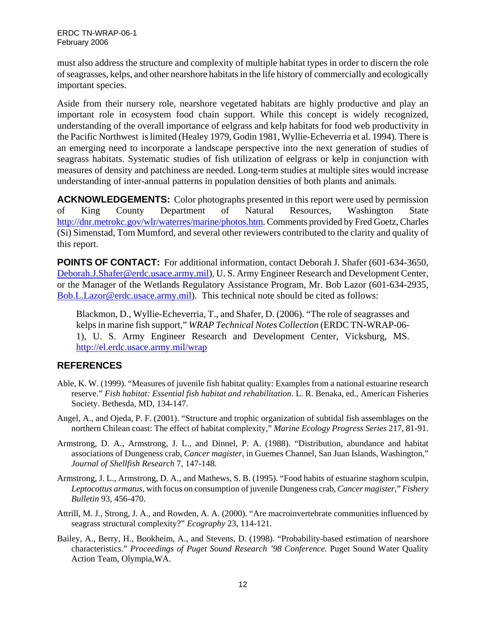must also address the structure and complexity of multiple habitat types in order to discern the role of seagrasses, kelps, and other nearshore habitats in the life history of commercially and ecologically important species.

Aside from their nursery role, nearshore vegetated habitats are highly productive and play an important role in ecosystem food chain support. While this concept is widely recognized, understanding of the overall importance of eelgrass and kelp habitats for food web productivity in the Pacific Northwest is limited (Healey 1979, Godin 1981, Wyllie-Echeverria et al. 1994). There is an emerging need to incorporate a landscape perspective into the next generation of studies of seagrass habitats. Systematic studies of fish utilization of eelgrass or kelp in conjunction with measures of density and patchiness are needed. Long-term studies at multiple sites would increase understanding of inter-annual patterns in population densities of both plants and animals.

**ACKNOWLEDGEMENTS:** Color photographs presented in this report were used by permission of King County Department of Natural Resources, Washington State http://dnr.metrokc.gov/wlr/waterres/marine/photos.htm. Comments provided by Fred Goetz, Charles (Si) Simenstad, Tom Mumford, and several other reviewers contributed to the clarity and quality of this report.

**POINTS OF CONTACT:** For additional information, contact Deborah J. Shafer (601-634-3650, Deborah.J.Shafer@erdc.usace.army.mil), U. S. Army Engineer Research and Development Center, or the Manager of the Wetlands Regulatory Assistance Program, Mr. Bob Lazor (601-634-2935, Bob.L.Lazor@erdc.usace.army.mil). This technical note should be cited as follows:

Blackmon, D., Wyllie-Echeverria, T., and Shafer, D. (2006). "The role of seagrasses and kelps in marine fish support," *WRAP Technical Notes Collection* (ERDC TN-WRAP-06- 1), U. S. Army Engineer Research and Development Center, Vicksburg, MS. http://el.erdc.usace.army.mil/wrap

#### **REFERENCES**

- Able, K. W. (1999). "Measures of juvenile fish habitat quality: Examples from a national estuarine research reserve." *Fish habitat: Essential fish habitat and rehabilitation.* L. R. Benaka, ed., American Fisheries Society. Bethesda, MD, 134-147.
- Angel, A., and Ojeda, P. F. (2001). "Structure and trophic organization of subtidal fish assemblages on the northern Chilean coast: The effect of habitat complexity," *Marine Ecology Progress Series* 217, 81-91.
- Armstrong, D. A., Armstrong, J. L., and Dinnel, P. A. (1988). "Distribution, abundance and habitat associations of Dungeness crab, *Cancer magister*, in Guemes Channel, San Juan Islands, Washington," *Journal of Shellfish Research* 7, 147-148.
- Armstrong, J. L., Armstrong, D. A., and Mathews, S. B. (1995). "Food habits of estuarine staghorn sculpin, *Leptocottus armatus*, with focus on consumption of juvenile Dungeness crab, *Cancer magister*," *Fishery Bulletin* 93, 456-470.
- Attrill, M. J., Strong, J. A., and Rowden, A. A. (2000). "Are macroinvertebrate communities influenced by seagrass structural complexity?" *Ecography* 23, 114-121.
- Bailey, A., Berry, H., Bookheim, A., and Stevens, D. (1998). "Probability-based estimation of nearshore characteristics." *Proceedings of Puget Sound Research '98 Conference.* Puget Sound Water Quality Action Team, Olympia,WA.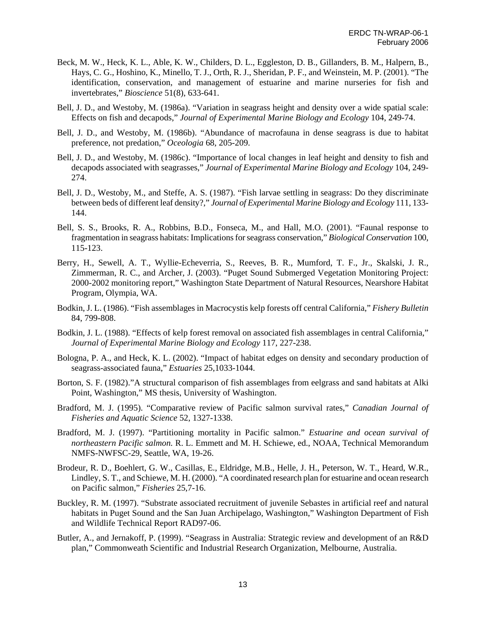- Beck, M. W., Heck, K. L., Able, K. W., Childers, D. L., Eggleston, D. B., Gillanders, B. M., Halpern, B., Hays, C. G., Hoshino, K., Minello, T. J., Orth, R. J., Sheridan, P. F., and Weinstein, M. P. (2001). "The identification, conservation, and management of estuarine and marine nurseries for fish and invertebrates," *Bioscience* 51(8), 633-641.
- Bell, J. D., and Westoby, M. (1986a). "Variation in seagrass height and density over a wide spatial scale: Effects on fish and decapods," *Journal of Experimental Marine Biology and Ecology* 104, 249-74.
- Bell, J. D., and Westoby, M. (1986b). "Abundance of macrofauna in dense seagrass is due to habitat preference, not predation," *Oceologia* 68, 205-209.
- Bell, J. D., and Westoby, M. (1986c). "Importance of local changes in leaf height and density to fish and decapods associated with seagrasses," *Journal of Experimental Marine Biology and Ecology* 104, 249- 274.
- Bell, J. D., Westoby, M., and Steffe, A. S. (1987). "Fish larvae settling in seagrass: Do they discriminate between beds of different leaf density?," *Journal of Experimental Marine Biology and Ecology* 111, 133- 144.
- Bell, S. S., Brooks, R. A., Robbins, B.D., Fonseca, M., and Hall, M.O. (2001). "Faunal response to fragmentation in seagrass habitats: Implications for seagrass conservation," *Biological Conservation* 100, 115-123.
- Berry, H., Sewell, A. T., Wyllie-Echeverria, S., Reeves, B. R., Mumford, T. F., Jr., Skalski, J. R., Zimmerman, R. C., and Archer, J. (2003). "Puget Sound Submerged Vegetation Monitoring Project: 2000-2002 monitoring report," Washington State Department of Natural Resources, Nearshore Habitat Program, Olympia, WA.
- Bodkin, J. L. (1986). "Fish assemblages in Macrocystis kelp forests off central California," *Fishery Bulletin* 84, 799-808.
- Bodkin, J. L. (1988). "Effects of kelp forest removal on associated fish assemblages in central California," *Journal of Experimental Marine Biology and Ecology* 117, 227-238.
- Bologna, P. A., and Heck, K. L. (2002). "Impact of habitat edges on density and secondary production of seagrass-associated fauna," *Estuaries* 25,1033-1044.
- Borton, S. F. (1982)."A structural comparison of fish assemblages from eelgrass and sand habitats at Alki Point, Washington," MS thesis, University of Washington.
- Bradford, M. J. (1995). "Comparative review of Pacific salmon survival rates," *Canadian Journal of Fisheries and Aquatic Science* 52, 1327-1338.
- Bradford, M. J. (1997). "Partitioning mortality in Pacific salmon." *Estuarine and ocean survival of northeastern Pacific salmon.* R. L. Emmett and M. H. Schiewe, ed., NOAA, Technical Memorandum NMFS-NWFSC-29, Seattle, WA, 19-26.
- Brodeur, R. D., Boehlert, G. W., Casillas, E., Eldridge, M.B., Helle, J. H., Peterson, W. T., Heard, W.R., Lindley, S. T., and Schiewe, M. H. (2000). "A coordinated research plan for estuarine and ocean research on Pacific salmon," *Fisheries* 25,7-16.
- Buckley, R. M. (1997). "Substrate associated recruitment of juvenile Sebastes in artificial reef and natural habitats in Puget Sound and the San Juan Archipelago, Washington," Washington Department of Fish and Wildlife Technical Report RAD97-06.
- Butler, A., and Jernakoff, P. (1999). "Seagrass in Australia: Strategic review and development of an R&D plan," Commonweath Scientific and Industrial Research Organization, Melbourne, Australia.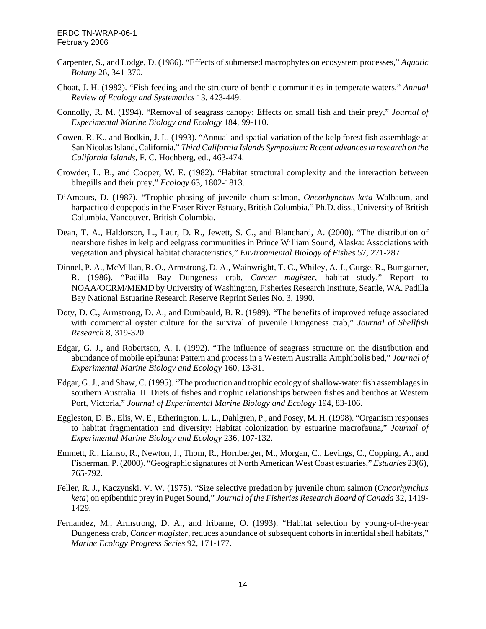- Carpenter, S., and Lodge, D. (1986). "Effects of submersed macrophytes on ecosystem processes," *Aquatic Botany* 26, 341-370.
- Choat, J. H. (1982). "Fish feeding and the structure of benthic communities in temperate waters," *Annual Review of Ecology and Systematics* 13, 423-449.
- Connolly, R. M. (1994). "Removal of seagrass canopy: Effects on small fish and their prey," *Journal of Experimental Marine Biology and Ecology* 184, 99-110.
- Cowen, R. K., and Bodkin, J. L. (1993). "Annual and spatial variation of the kelp forest fish assemblage at San Nicolas Island, California." *Third California Islands Symposium: Recent advances in research on the California Islands*, F. C. Hochberg, ed., 463-474.
- Crowder, L. B., and Cooper, W. E. (1982). "Habitat structural complexity and the interaction between bluegills and their prey," *Ecology* 63, 1802-1813.
- D'Amours, D. (1987). "Trophic phasing of juvenile chum salmon, *Oncorhynchus keta* Walbaum, and harpacticoid copepods in the Fraser River Estuary, British Columbia," Ph.D. diss., University of British Columbia, Vancouver, British Columbia.
- Dean, T. A., Haldorson, L., Laur, D. R., Jewett, S. C., and Blanchard, A. (2000). "The distribution of nearshore fishes in kelp and eelgrass communities in Prince William Sound, Alaska: Associations with vegetation and physical habitat characteristics," *Environmental Biology of Fishes* 57, 271-287
- Dinnel, P. A., McMillan, R. O., Armstrong, D. A., Wainwright, T. C., Whiley, A. J., Gurge, R., Bumgarner, R. (1986). "Padilla Bay Dungeness crab, *Cancer magister*, habitat study," Report to NOAA/OCRM/MEMD by University of Washington, Fisheries Research Institute, Seattle, WA. Padilla Bay National Estuarine Research Reserve Reprint Series No. 3, 1990.
- Doty, D. C., Armstrong, D. A., and Dumbauld, B. R. (1989). "The benefits of improved refuge associated with commercial oyster culture for the survival of juvenile Dungeness crab," *Journal of Shellfish Research* 8, 319-320.
- Edgar, G. J., and Robertson, A. I. (1992). "The influence of seagrass structure on the distribution and abundance of mobile epifauna: Pattern and process in a Western Australia Amphibolis bed," *Journal of Experimental Marine Biology and Ecology* 160, 13-31.
- Edgar, G. J., and Shaw, C. (1995). "The production and trophic ecology of shallow-water fish assemblages in southern Australia. II. Diets of fishes and trophic relationships between fishes and benthos at Western Port, Victoria," *Journal of Experimental Marine Biology and Ecology* 194, 83-106.
- Eggleston, D. B., Elis, W. E., Etherington, L. L., Dahlgren, P., and Posey, M. H. (1998). "Organism responses to habitat fragmentation and diversity: Habitat colonization by estuarine macrofauna," *Journal of Experimental Marine Biology and Ecology* 236, 107-132.
- Emmett, R., Lianso, R., Newton, J., Thom, R., Hornberger, M., Morgan, C., Levings, C., Copping, A., and Fisherman, P. (2000). "Geographic signatures of North American West Coast estuaries," *Estuaries* 23(6), 765-792.
- Feller, R. J., Kaczynski, V. W. (1975). "Size selective predation by juvenile chum salmon (*Oncorhynchus keta*) on epibenthic prey in Puget Sound," *Journal of the Fisheries Research Board of Canada* 32, 1419- 1429.
- Fernandez, M., Armstrong, D. A., and Iribarne, O. (1993). "Habitat selection by young-of-the-year Dungeness crab, *Cancer magister*, reduces abundance of subsequent cohorts in intertidal shell habitats," *Marine Ecology Progress Series* 92, 171-177.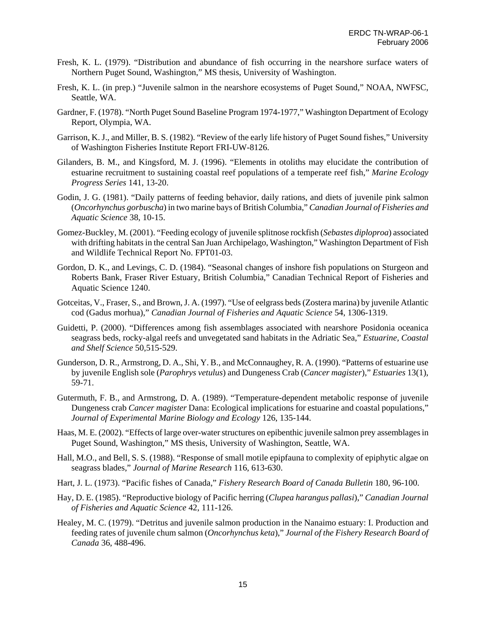- Fresh, K. L. (1979). "Distribution and abundance of fish occurring in the nearshore surface waters of Northern Puget Sound, Washington," MS thesis, University of Washington.
- Fresh, K. L. (in prep.) "Juvenile salmon in the nearshore ecosystems of Puget Sound," NOAA, NWFSC, Seattle, WA.
- Gardner, F. (1978). "North Puget Sound Baseline Program 1974-1977," Washington Department of Ecology Report, Olympia, WA.
- Garrison, K. J., and Miller, B. S. (1982). "Review of the early life history of Puget Sound fishes," University of Washington Fisheries Institute Report FRI-UW-8126.
- Gilanders, B. M., and Kingsford, M. J. (1996). "Elements in otoliths may elucidate the contribution of estuarine recruitment to sustaining coastal reef populations of a temperate reef fish," *Marine Ecology Progress Series* 141, 13-20.
- Godin, J. G. (1981). "Daily patterns of feeding behavior, daily rations, and diets of juvenile pink salmon (*Oncorhynchus gorbuscha*) in two marine bays of British Columbia," *Canadian Journal of Fisheries and Aquatic Science* 38, 10-15.
- Gomez-Buckley, M. (2001). "Feeding ecology of juvenile splitnose rockfish (*Sebastes diploproa*) associated with drifting habitats in the central San Juan Archipelago, Washington," Washington Department of Fish and Wildlife Technical Report No. FPT01-03.
- Gordon, D. K., and Levings, C. D. (1984). "Seasonal changes of inshore fish populations on Sturgeon and Roberts Bank, Fraser River Estuary, British Columbia," Canadian Technical Report of Fisheries and Aquatic Science 1240.
- Gotceitas, V., Fraser, S., and Brown, J. A. (1997). "Use of eelgrass beds (Zostera marina) by juvenile Atlantic cod (Gadus morhua)," *Canadian Journal of Fisheries and Aquatic Science* 54, 1306-1319.
- Guidetti, P. (2000). "Differences among fish assemblages associated with nearshore Posidonia oceanica seagrass beds, rocky-algal reefs and unvegetated sand habitats in the Adriatic Sea," *Estuarine, Coastal and Shelf Science* 50,515-529.
- Gunderson, D. R., Armstrong, D. A., Shi, Y. B., and McConnaughey, R. A. (1990). "Patterns of estuarine use by juvenile English sole (*Parophrys vetulus*) and Dungeness Crab (*Cancer magister*)," *Estuaries* 13(1), 59-71.
- Gutermuth, F. B., and Armstrong, D. A. (1989). "Temperature-dependent metabolic response of juvenile Dungeness crab *Cancer magister* Dana: Ecological implications for estuarine and coastal populations," *Journal of Experimental Marine Biology and Ecology* 126, 135-144.
- Haas, M. E. (2002). "Effects of large over-water structures on epibenthic juvenile salmon prey assemblages in Puget Sound, Washington," MS thesis, University of Washington, Seattle, WA.
- Hall, M.O., and Bell, S. S. (1988). "Response of small motile epipfauna to complexity of epiphytic algae on seagrass blades," *Journal of Marine Research* 116, 613-630.
- Hart, J. L. (1973). "Pacific fishes of Canada," *Fishery Research Board of Canada Bulletin* 180, 96-100.
- Hay, D. E. (1985). "Reproductive biology of Pacific herring (*Clupea harangus pallasi*)," *Canadian Journal of Fisheries and Aquatic Science* 42, 111-126.
- Healey, M. C. (1979). "Detritus and juvenile salmon production in the Nanaimo estuary: I. Production and feeding rates of juvenile chum salmon (*Oncorhynchus keta*)," *Journal of the Fishery Research Board of Canada* 36, 488-496.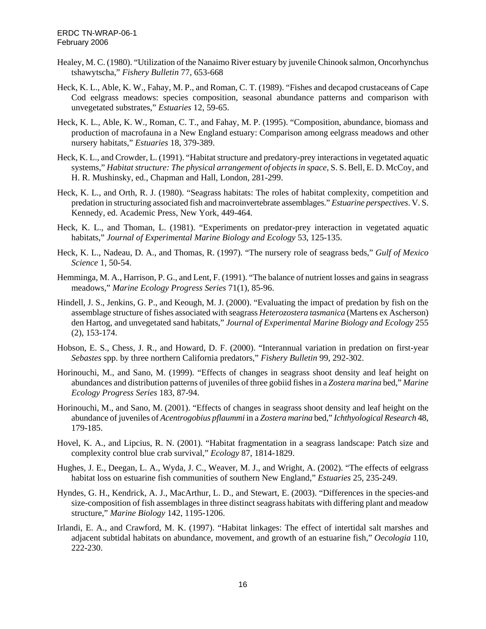- Healey, M. C. (1980). "Utilization of the Nanaimo River estuary by juvenile Chinook salmon, Oncorhynchus tshawytscha," *Fishery Bulletin* 77, 653-668
- Heck, K. L., Able, K. W., Fahay, M. P., and Roman, C. T. (1989). "Fishes and decapod crustaceans of Cape Cod eelgrass meadows: species composition, seasonal abundance patterns and comparison with unvegetated substrates," *Estuaries* 12, 59-65.
- Heck, K. L., Able, K. W., Roman, C. T., and Fahay, M. P. (1995). "Composition, abundance, biomass and production of macrofauna in a New England estuary: Comparison among eelgrass meadows and other nursery habitats," *Estuaries* 18, 379-389.
- Heck, K. L., and Crowder, L. (1991). "Habitat structure and predatory-prey interactions in vegetated aquatic systems," *Habitat structure: The physical arrangement of objects in space*, S. S. Bell, E. D. McCoy, and H. R. Mushinsky, ed., Chapman and Hall, London, 281-299.
- Heck, K. L., and Orth, R. J. (1980). "Seagrass habitats: The roles of habitat complexity, competition and predation in structuring associated fish and macroinvertebrate assemblages." *Estuarine perspectives*. V. S. Kennedy, ed. Academic Press, New York, 449-464.
- Heck, K. L., and Thoman, L. (1981). "Experiments on predator-prey interaction in vegetated aquatic habitats," *Journal of Experimental Marine Biology and Ecology* 53, 125-135.
- Heck, K. L., Nadeau, D. A., and Thomas, R. (1997). "The nursery role of seagrass beds," *Gulf of Mexico Science* 1, 50-54.
- Hemminga, M. A., Harrison, P. G., and Lent, F. (1991). "The balance of nutrient losses and gains in seagrass meadows," *Marine Ecology Progress Series* 71(1), 85-96.
- Hindell, J. S., Jenkins, G. P., and Keough, M. J. (2000). "Evaluating the impact of predation by fish on the assemblage structure of fishes associated with seagrass *Heterozostera tasmanica* (Martens ex Ascherson) den Hartog, and unvegetated sand habitats," *Journal of Experimental Marine Biology and Ecology* 255 (2), 153-174.
- Hobson, E. S., Chess, J. R., and Howard, D. F. (2000). "Interannual variation in predation on first-year *Sebastes* spp. by three northern California predators," *Fishery Bulletin* 99, 292-302.
- Horinouchi, M., and Sano, M. (1999). "Effects of changes in seagrass shoot density and leaf height on abundances and distribution patterns of juveniles of three gobiid fishes in a *Zostera marina* bed," *Marine Ecology Progress Series* 183, 87-94.
- Horinouchi, M., and Sano, M. (2001). "Effects of changes in seagrass shoot density and leaf height on the abundance of juveniles of *Acentrogobius pflaummi* in a *Zostera marina* bed," *Ichthyological Research* 48, 179-185.
- Hovel, K. A., and Lipcius, R. N. (2001). "Habitat fragmentation in a seagrass landscape: Patch size and complexity control blue crab survival," *Ecology* 87, 1814-1829.
- Hughes, J. E., Deegan, L. A., Wyda, J. C., Weaver, M. J., and Wright, A. (2002). "The effects of eelgrass habitat loss on estuarine fish communities of southern New England," *Estuaries* 25, 235-249.
- Hyndes, G. H., Kendrick, A. J., MacArthur, L. D., and Stewart, E. (2003). "Differences in the species-and size-composition of fish assemblages in three distinct seagrass habitats with differing plant and meadow structure," *Marine Biology* 142, 1195-1206.
- Irlandi, E. A., and Crawford, M. K. (1997). "Habitat linkages: The effect of intertidal salt marshes and adjacent subtidal habitats on abundance, movement, and growth of an estuarine fish," *Oecologia* 110, 222-230.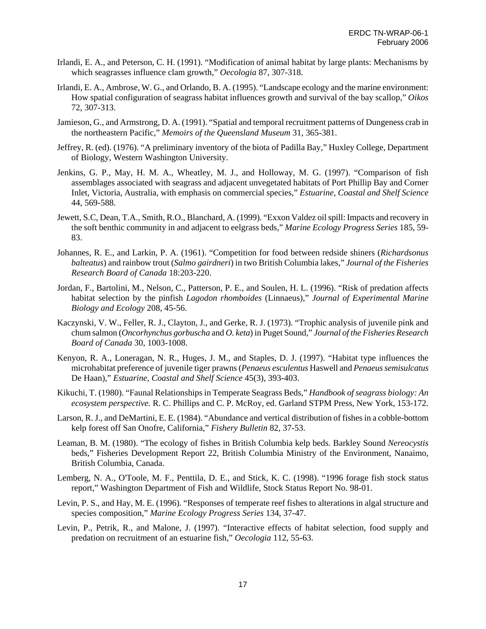- Irlandi, E. A., and Peterson, C. H. (1991). "Modification of animal habitat by large plants: Mechanisms by which seagrasses influence clam growth," *Oecologia* 87, 307-318.
- Irlandi, E. A., Ambrose, W. G., and Orlando, B. A. (1995). "Landscape ecology and the marine environment: How spatial configuration of seagrass habitat influences growth and survival of the bay scallop," *Oikos* 72, 307-313.
- Jamieson, G., and Armstrong, D. A. (1991). "Spatial and temporal recruitment patterns of Dungeness crab in the northeastern Pacific," *Memoirs of the Queensland Museum* 31, 365-381.
- Jeffrey, R. (ed). (1976). "A preliminary inventory of the biota of Padilla Bay," Huxley College, Department of Biology, Western Washington University.
- Jenkins, G. P., May, H. M. A., Wheatley, M. J., and Holloway, M. G. (1997). "Comparison of fish assemblages associated with seagrass and adjacent unvegetated habitats of Port Phillip Bay and Corner Inlet, Victoria, Australia, with emphasis on commercial species," *Estuarine, Coastal and Shelf Science* 44, 569-588.
- Jewett, S.C, Dean, T.A., Smith, R.O., Blanchard, A. (1999). "Exxon Valdez oil spill: Impacts and recovery in the soft benthic community in and adjacent to eelgrass beds," *Marine Ecology Progress Series* 185, 59- 83.
- Johannes, R. E., and Larkin, P. A. (1961). "Competition for food between redside shiners (*Richardsonus balteatus*) and rainbow trout (*Salmo gairdneri*) in two British Columbia lakes," *Journal of the Fisheries Research Board of Canada* 18:203-220.
- Jordan, F., Bartolini, M., Nelson, C., Patterson, P. E., and Soulen, H. L. (1996). "Risk of predation affects habitat selection by the pinfish *Lagodon rhomboides* (Linnaeus)," *Journal of Experimental Marine Biology and Ecology* 208, 45-56.
- Kaczynski, V. W., Feller, R. J., Clayton, J., and Gerke, R. J. (1973). "Trophic analysis of juvenile pink and chum salmon (*Oncorhynchus gorbuscha* and *O. keta*) in Puget Sound," *Journal of the Fisheries Research Board of Canada* 30, 1003-1008.
- Kenyon, R. A., Loneragan, N. R., Huges, J. M., and Staples, D. J. (1997). "Habitat type influences the microhabitat preference of juvenile tiger prawns (*Penaeus esculentus* Haswell and *Penaeus semisulcatus* De Haan)," *Estuarine, Coastal and Shelf Science* 45(3), 393-403.
- Kikuchi, T. (1980). "Faunal Relationships in Temperate Seagrass Beds," *Handbook of seagrass biology: An ecosystem perspective.* R. C. Phillips and C. P. McRoy, ed. Garland STPM Press, New York, 153-172.
- Larson, R. J., and DeMartini, E. E. (1984). "Abundance and vertical distribution of fishes in a cobble-bottom kelp forest off San Onofre, California," *Fishery Bulletin* 82, 37-53.
- Leaman, B. M. (1980). "The ecology of fishes in British Columbia kelp beds. Barkley Sound *Nereocystis* beds," Fisheries Development Report 22, British Columbia Ministry of the Environment, Nanaimo, British Columbia, Canada.
- Lemberg, N. A., O'Toole, M. F., Penttila, D. E., and Stick, K. C. (1998). "1996 forage fish stock status report," Washington Department of Fish and Wildlife, Stock Status Report No. 98-01.
- Levin, P. S., and Hay, M. E. (1996). "Responses of temperate reef fishes to alterations in algal structure and species composition," *Marine Ecology Progress Series* 134, 37-47.
- Levin, P., Petrik, R., and Malone, J. (1997). "Interactive effects of habitat selection, food supply and predation on recruitment of an estuarine fish," *Oecologia* 112, 55-63.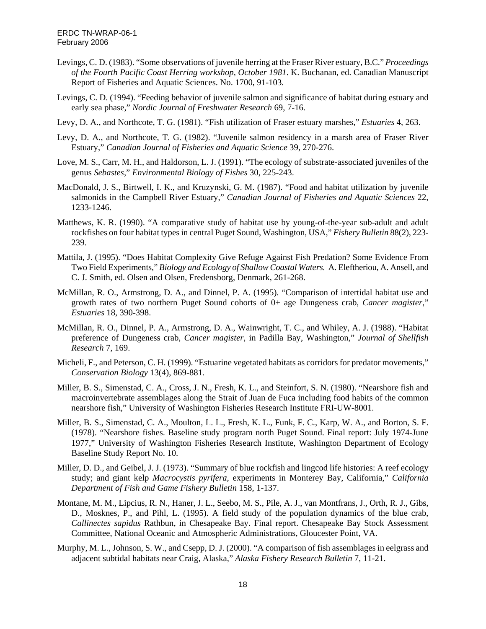- Levings, C. D. (1983). "Some observations of juvenile herring at the Fraser River estuary, B.C." *Proceedings of the Fourth Pacific Coast Herring workshop, October 1981*. K. Buchanan, ed. Canadian Manuscript Report of Fisheries and Aquatic Sciences. No. 1700, 91-103.
- Levings, C. D. (1994). "Feeding behavior of juvenile salmon and significance of habitat during estuary and early sea phase," *Nordic Journal of Freshwater Research* 69, 7-16.
- Levy, D. A., and Northcote, T. G. (1981). "Fish utilization of Fraser estuary marshes," *Estuaries* 4, 263.
- Levy, D. A., and Northcote, T. G. (1982). "Juvenile salmon residency in a marsh area of Fraser River Estuary," *Canadian Journal of Fisheries and Aquatic Science* 39, 270-276.
- Love, M. S., Carr, M. H., and Haldorson, L. J. (1991). "The ecology of substrate-associated juveniles of the genus *Sebastes*," *Environmental Biology of Fishes* 30, 225-243.
- MacDonald, J. S., Birtwell, I. K., and Kruzynski, G. M. (1987). "Food and habitat utilization by juvenile salmonids in the Campbell River Estuary," *Canadian Journal of Fisheries and Aquatic Sciences* 22, 1233-1246.
- Matthews, K. R. (1990). "A comparative study of habitat use by young-of-the-year sub-adult and adult rockfishes on four habitat types in central Puget Sound, Washington, USA," *Fishery Bulletin* 88(2), 223- 239.
- Mattila, J. (1995). "Does Habitat Complexity Give Refuge Against Fish Predation? Some Evidence From Two Field Experiments," *Biology and Ecology of Shallow Coastal Waters.* A. Eleftheriou, A. Ansell, and C. J. Smith, ed. Olsen and Olsen, Fredensborg, Denmark, 261-268.
- McMillan, R. O., Armstrong, D. A., and Dinnel, P. A. (1995). "Comparison of intertidal habitat use and growth rates of two northern Puget Sound cohorts of 0+ age Dungeness crab, *Cancer magister*," *Estuaries* 18, 390-398.
- McMillan, R. O., Dinnel, P. A., Armstrong, D. A., Wainwright, T. C., and Whiley, A. J. (1988). "Habitat preference of Dungeness crab, *Cancer magister*, in Padilla Bay, Washington," *Journal of Shellfish Research* 7, 169.
- Micheli, F., and Peterson, C. H. (1999). "Estuarine vegetated habitats as corridors for predator movements," *Conservation Biology* 13(4), 869-881.
- Miller, B. S., Simenstad, C. A., Cross, J. N., Fresh, K. L., and Steinfort, S. N. (1980). "Nearshore fish and macroinvertebrate assemblages along the Strait of Juan de Fuca including food habits of the common nearshore fish," University of Washington Fisheries Research Institute FRI-UW-8001.
- Miller, B. S., Simenstad, C. A., Moulton, L. L., Fresh, K. L., Funk, F. C., Karp, W. A., and Borton, S. F. (1978). "Nearshore fishes. Baseline study program north Puget Sound. Final report: July 1974-June 1977," University of Washington Fisheries Research Institute, Washington Department of Ecology Baseline Study Report No. 10.
- Miller, D. D., and Geibel, J. J. (1973). "Summary of blue rockfish and lingcod life histories: A reef ecology study; and giant kelp *Macrocystis pyrifera*, experiments in Monterey Bay, California," *California Department of Fish and Game Fishery Bulletin* 158, 1-137.
- Montane, M. M., Lipcius, R. N., Haner, J. L., Seebo, M. S., Pile, A. J., van Montfrans, J., Orth, R. J., Gibs, D., Mosknes, P., and Pihl, L. (1995). A field study of the population dynamics of the blue crab, *Callinectes sapidus* Rathbun, in Chesapeake Bay. Final report. Chesapeake Bay Stock Assessment Committee, National Oceanic and Atmospheric Administrations, Gloucester Point, VA.
- Murphy, M. L., Johnson, S. W., and Csepp, D. J. (2000). "A comparison of fish assemblages in eelgrass and adjacent subtidal habitats near Craig, Alaska," *Alaska Fishery Research Bulletin* 7, 11-21.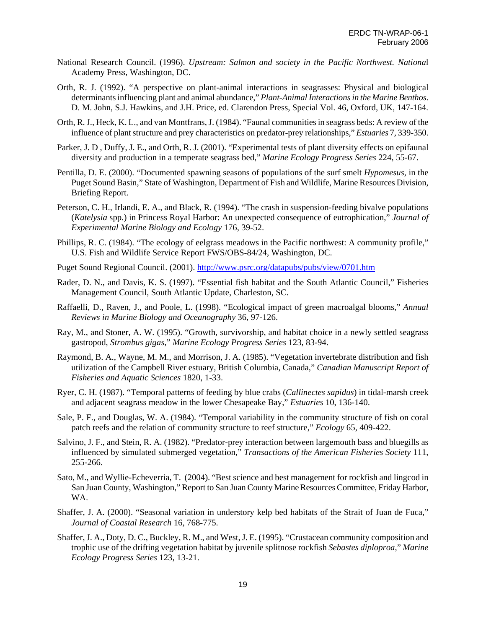- National Research Council. (1996). *Upstream: Salmon and society in the Pacific Northwest. Nationa*l Academy Press, Washington, DC.
- Orth, R. J. (1992). "A perspective on plant-animal interactions in seagrasses: Physical and biological determinants influencing plant and animal abundance," *Plant-Animal Interactions in the Marine Benthos*. D. M. John, S.J. Hawkins, and J.H. Price, ed. Clarendon Press, Special Vol. 46, Oxford, UK, 147-164.
- Orth, R. J., Heck, K. L., and van Montfrans, J. (1984). "Faunal communities in seagrass beds: A review of the influence of plant structure and prey characteristics on predator-prey relationships," *Estuaries* 7, 339-350.
- Parker, J. D , Duffy, J. E., and Orth, R. J. (2001). "Experimental tests of plant diversity effects on epifaunal diversity and production in a temperate seagrass bed," *Marine Ecology Progress Series* 224, 55-67.
- Pentilla, D. E. (2000). "Documented spawning seasons of populations of the surf smelt *Hypomesus*, in the Puget Sound Basin," State of Washington, Department of Fish and Wildlife, Marine Resources Division, Briefing Report.
- Peterson, C. H., Irlandi, E. A., and Black, R. (1994). "The crash in suspension-feeding bivalve populations (*Katelysia* spp.) in Princess Royal Harbor: An unexpected consequence of eutrophication," *Journal of Experimental Marine Biology and Ecology* 176, 39-52.
- Phillips, R. C. (1984). "The ecology of eelgrass meadows in the Pacific northwest: A community profile," U.S. Fish and Wildlife Service Report FWS/OBS-84/24, Washington, DC.
- Puget Sound Regional Council. (2001). http://www.psrc.org/datapubs/pubs/view/0701.htm
- Rader, D. N., and Davis, K. S. (1997). "Essential fish habitat and the South Atlantic Council," Fisheries Management Council, South Atlantic Update, Charleston, SC.
- Raffaelli, D., Raven, J., and Poole, L. (1998). "Ecological impact of green macroalgal blooms," *Annual Reviews in Marine Biology and Oceanography* 36, 97-126.
- Ray, M., and Stoner, A. W. (1995). "Growth, survivorship, and habitat choice in a newly settled seagrass gastropod, *Strombus gigas*," *Marine Ecology Progress Series* 123, 83-94.
- Raymond, B. A., Wayne, M. M., and Morrison, J. A. (1985). "Vegetation invertebrate distribution and fish utilization of the Campbell River estuary, British Columbia, Canada," *Canadian Manuscript Report of Fisheries and Aquatic Sciences* 1820, 1-33.
- Ryer, C. H. (1987). "Temporal patterns of feeding by blue crabs (*Callinectes sapidus*) in tidal-marsh creek and adjacent seagrass meadow in the lower Chesapeake Bay," *Estuaries* 10, 136-140.
- Sale, P. F., and Douglas, W. A. (1984). "Temporal variability in the community structure of fish on coral patch reefs and the relation of community structure to reef structure," *Ecology* 65, 409-422.
- Salvino, J. F., and Stein, R. A. (1982). "Predator-prey interaction between largemouth bass and bluegills as influenced by simulated submerged vegetation," *Transactions of the American Fisheries Society* 111, 255-266.
- Sato, M., and Wyllie-Echeverria, T. (2004). "Best science and best management for rockfish and lingcod in San Juan County, Washington," Report to San Juan County Marine Resources Committee, Friday Harbor, WA.
- Shaffer, J. A. (2000). "Seasonal variation in understory kelp bed habitats of the Strait of Juan de Fuca," *Journal of Coastal Research* 16, 768-775.
- Shaffer, J. A., Doty, D. C., Buckley, R. M., and West, J. E. (1995). "Crustacean community composition and trophic use of the drifting vegetation habitat by juvenile splitnose rockfish *Sebastes diploproa*," *Marine Ecology Progress Series* 123, 13-21.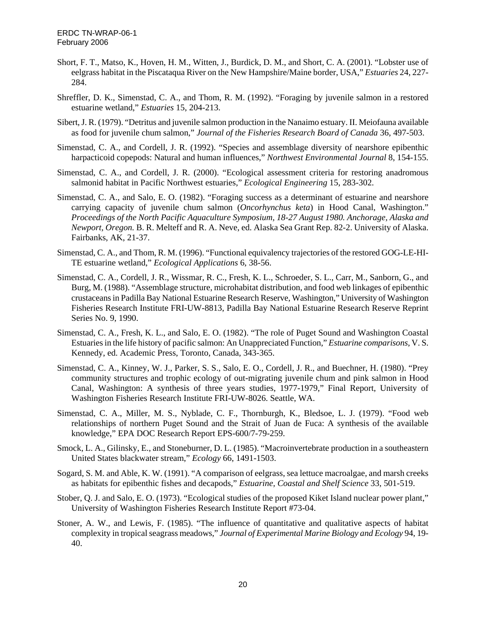- Short, F. T., Matso, K., Hoven, H. M., Witten, J., Burdick, D. M., and Short, C. A. (2001). "Lobster use of eelgrass habitat in the Piscataqua River on the New Hampshire/Maine border, USA," *Estuaries* 24, 227- 284.
- Shreffler, D. K., Simenstad, C. A., and Thom, R. M. (1992). "Foraging by juvenile salmon in a restored estuarine wetland," *Estuaries* 15, 204-213.
- Sibert, J. R. (1979). "Detritus and juvenile salmon production in the Nanaimo estuary. II. Meiofauna available as food for juvenile chum salmon," *Journal of the Fisheries Research Board of Canada* 36, 497-503.
- Simenstad, C. A., and Cordell, J. R. (1992). "Species and assemblage diversity of nearshore epibenthic harpacticoid copepods: Natural and human influences," *Northwest Environmental Journal* 8, 154-155.
- Simenstad, C. A., and Cordell, J. R. (2000). "Ecological assessment criteria for restoring anadromous salmonid habitat in Pacific Northwest estuaries," *Ecological Engineering* 15, 283-302.
- Simenstad, C. A., and Salo, E. O. (1982). "Foraging success as a determinant of estuarine and nearshore carrying capacity of juvenile chum salmon (*Oncorhynchus keta*) in Hood Canal, Washington." *Proceedings of the North Pacific Aquaculture Symposium, 18-27 August 1980. Anchorage, Alaska and Newport, Oregon.* B. R. Melteff and R. A. Neve, ed. Alaska Sea Grant Rep. 82-2. University of Alaska. Fairbanks, AK, 21-37.
- Simenstad, C. A., and Thom, R. M. (1996). "Functional equivalency trajectories of the restored GOG-LE-HI-TE estuarine wetland," *Ecological Applications* 6, 38-56.
- Simenstad, C. A., Cordell, J. R., Wissmar, R. C., Fresh, K. L., Schroeder, S. L., Carr, M., Sanborn, G., and Burg, M. (1988). "Assemblage structure, microhabitat distribution, and food web linkages of epibenthic crustaceans in Padilla Bay National Estuarine Research Reserve, Washington," University of Washington Fisheries Research Institute FRI-UW-8813, Padilla Bay National Estuarine Research Reserve Reprint Series No. 9, 1990.
- Simenstad, C. A., Fresh, K. L., and Salo, E. O. (1982). "The role of Puget Sound and Washington Coastal Estuaries in the life history of pacific salmon: An Unappreciated Function," *Estuarine comparisons*, V. S. Kennedy, ed. Academic Press, Toronto, Canada, 343-365.
- Simenstad, C. A., Kinney, W. J., Parker, S. S., Salo, E. O., Cordell, J. R., and Buechner, H. (1980). "Prey community structures and trophic ecology of out-migrating juvenile chum and pink salmon in Hood Canal, Washington: A synthesis of three years studies, 1977-1979," Final Report, University of Washington Fisheries Research Institute FRI-UW-8026. Seattle, WA.
- Simenstad, C. A., Miller, M. S., Nyblade, C. F., Thornburgh, K., Bledsoe, L. J. (1979). "Food web relationships of northern Puget Sound and the Strait of Juan de Fuca: A synthesis of the available knowledge," EPA DOC Research Report EPS-600/7-79-259.
- Smock, L. A., Gilinsky, E., and Stoneburner, D. L. (1985). "Macroinvertebrate production in a southeastern United States blackwater stream," *Ecology* 66, 1491-1503.
- Sogard, S. M. and Able, K. W. (1991). "A comparison of eelgrass, sea lettuce macroalgae, and marsh creeks as habitats for epibenthic fishes and decapods," *Estuarine, Coastal and Shelf Science* 33, 501-519.
- Stober, Q. J. and Salo, E. O. (1973). "Ecological studies of the proposed Kiket Island nuclear power plant," University of Washington Fisheries Research Institute Report #73-04.
- Stoner, A. W., and Lewis, F. (1985). "The influence of quantitative and qualitative aspects of habitat complexity in tropical seagrass meadows," *Journal of Experimental Marine Biology and Ecology* 94, 19- 40.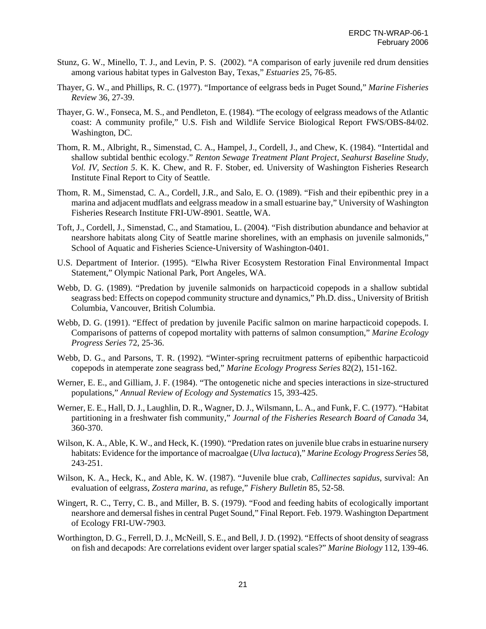- Stunz, G. W., Minello, T. J., and Levin, P. S. (2002). "A comparison of early juvenile red drum densities among various habitat types in Galveston Bay, Texas," *Estuaries* 25, 76-85.
- Thayer, G. W., and Phillips, R. C. (1977). "Importance of eelgrass beds in Puget Sound," *Marine Fisheries Review* 36, 27-39.
- Thayer, G. W., Fonseca, M. S., and Pendleton, E. (1984). "The ecology of eelgrass meadows of the Atlantic coast: A community profile," U.S. Fish and Wildlife Service Biological Report FWS/OBS-84/02. Washington, DC.
- Thom, R. M., Albright, R., Simenstad, C. A., Hampel, J., Cordell, J., and Chew, K. (1984). "Intertidal and shallow subtidal benthic ecology." *Renton Sewage Treatment Plant Project, Seahurst Baseline Study, Vol. IV, Section 5*. K. K. Chew, and R. F. Stober, ed. University of Washington Fisheries Research Institute Final Report to City of Seattle.
- Thom, R. M., Simenstad, C. A., Cordell, J.R., and Salo, E. O. (1989). "Fish and their epibenthic prey in a marina and adjacent mudflats and eelgrass meadow in a small estuarine bay," University of Washington Fisheries Research Institute FRI-UW-8901. Seattle, WA.
- Toft, J., Cordell, J., Simenstad, C., and Stamatiou, L. (2004). "Fish distribution abundance and behavior at nearshore habitats along City of Seattle marine shorelines, with an emphasis on juvenile salmonids," School of Aquatic and Fisheries Science-University of Washington-0401.
- U.S. Department of Interior. (1995). "Elwha River Ecosystem Restoration Final Environmental Impact Statement," Olympic National Park, Port Angeles, WA.
- Webb, D. G. (1989). "Predation by juvenile salmonids on harpacticoid copepods in a shallow subtidal seagrass bed: Effects on copepod community structure and dynamics," Ph.D. diss., University of British Columbia, Vancouver, British Columbia.
- Webb, D. G. (1991). "Effect of predation by juvenile Pacific salmon on marine harpacticoid copepods. I. Comparisons of patterns of copepod mortality with patterns of salmon consumption," *Marine Ecology Progress Series* 72, 25-36.
- Webb, D. G., and Parsons, T. R. (1992). "Winter-spring recruitment patterns of epibenthic harpacticoid copepods in atemperate zone seagrass bed," *Marine Ecology Progress Series* 82(2), 151-162.
- Werner, E. E., and Gilliam, J. F. (1984). "The ontogenetic niche and species interactions in size-structured populations," *Annual Review of Ecology and Systematics* 15, 393-425.
- Werner, E. E., Hall, D. J., Laughlin, D. R., Wagner, D. J., Wilsmann, L. A., and Funk, F. C. (1977). "Habitat partitioning in a freshwater fish community," *Journal of the Fisheries Research Board of Canada* 34, 360-370.
- Wilson, K. A., Able, K. W., and Heck, K. (1990). "Predation rates on juvenile blue crabs in estuarine nursery habitats: Evidence for the importance of macroalgae (*Ulva lactuca*)," *Marine Ecology Progress Series* 58, 243-251.
- Wilson, K. A., Heck, K., and Able, K. W. (1987). "Juvenile blue crab, *Callinectes sapidus*, survival: An evaluation of eelgrass, *Zostera marina*, as refuge," *Fishery Bulletin* 85, 52-58.
- Wingert, R. C., Terry, C. B., and Miller, B. S. (1979). "Food and feeding habits of ecologically important nearshore and demersal fishes in central Puget Sound," Final Report. Feb. 1979. Washington Department of Ecology FRI-UW-7903.
- Worthington, D. G., Ferrell, D. J., McNeill, S. E., and Bell, J. D. (1992). "Effects of shoot density of seagrass on fish and decapods: Are correlations evident over larger spatial scales?" *Marine Biology* 112, 139-46.